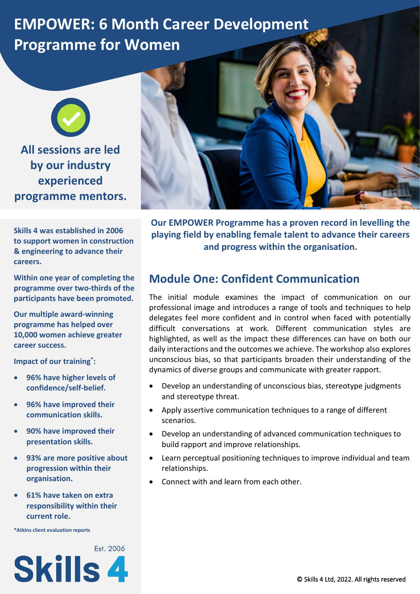# **EMPOWER: 6 Month Career Development Programme for Women**



**Skills 4 was established in 2006 to support women in construction & engineering to advance their careers.**

**Within one year of completing the programme over two-thirds of the participants have been promoted.**

**Our multiple award-winning programme has helped over 10,000 women achieve greater career success.**

**Impact of our training\*:**

- **96% have higher levels of confidence/self-belief.**
- **96% have improved their communication skills.**
- **90% have improved their presentation skills.**
- **93% are more positive about progression within their organisation.**
- **61% have taken on extra responsibility within their current role.**

**\*Atkins client evaluation reports**





**Our EMPOWER Programme has a proven record in levelling the playing field by enabling female talent to advance their careers and progress within the organisation.**

#### **Module One: Confident Communication**

The initial module examines the impact of communication on our professional image and introduces a range of tools and techniques to help delegates feel more confident and in control when faced with potentially difficult conversations at work. Different communication styles are highlighted, as well as the impact these differences can have on both our daily interactions and the outcomes we achieve. The workshop also explores unconscious bias, so that participants broaden their understanding of the dynamics of diverse groups and communicate with greater rapport.

- Develop an understanding of unconscious bias, stereotype judgments and stereotype threat.
- Apply assertive communication techniques to a range of different scenarios.
- Develop an understanding of advanced communication techniques to build rapport and improve relationships.
- Learn perceptual positioning techniques to improve individual and team relationships.
- Connect with and learn from each other.